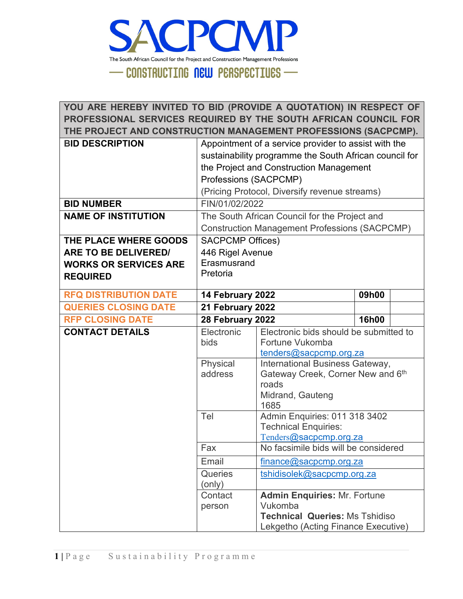

**YOU ARE HEREBY INVITED TO BID (PROVIDE A QUOTATION) IN RESPECT OF PROFESSIONAL SERVICES REQUIRED BY THE SOUTH AFRICAN COUNCIL FOR THE PROJECT AND CONSTRUCTION MANAGEMENT PROFESSIONS (SACPCMP). BID DESCRIPTION** | Appointment of a service provider to assist with the sustainability programme the South African council for the Project and Construction Management Professions (SACPCMP) (Pricing Protocol, Diversify revenue streams) **BID NUMBER** FIN/01/02/2022 **NAME OF INSTITUTION** The South African Council for the Project and Construction Management Professions (SACPCMP) **THE PLACE WHERE GOODS ARE TO BE DELIVERED/ WORKS OR SERVICES ARE REQUIRED** SACPCMP Offices) 446 Rigel Avenue **Erasmusrand** Pretoria **RFQ DISTRIBUTION DATE 14 February 2022 09h00 QUERIES CLOSING DATE 21 February 2022 RFP CLOSING DATE 28 February 2022 16h00 CONTACT DETAILS** Electronic bids Electronic bids should be submitted to Fortune Vukomba [tenders@sacpcmp.org.za](mailto:tenders@sacpcmp.org.za) Physical address International Business Gateway, Gateway Creek, Corner New and 6th roads Midrand, Gauteng 1685 Tel Admin Enquiries: 011 318 3402 Technical Enquiries: [Tenders](mailto:Tenders@sacpcmp.org.za)[@sacpcmp.org.za](mailto:Tenders@sacpcmp.org.za) Fax No facsimile bids will be considered Email [finance@sacpcmp.org.za](mailto:finance@sacpcmp.org.za) **Queries** (only) [tshidisolek@sacpcmp.org.za](mailto:tshidisolek@sacpcmp.org.za) **Contact** person **Admin Enquiries:** Mr. Fortune Vukomba **Technical Queries:** Ms Tshidiso Lekgetho (Acting Finance Executive)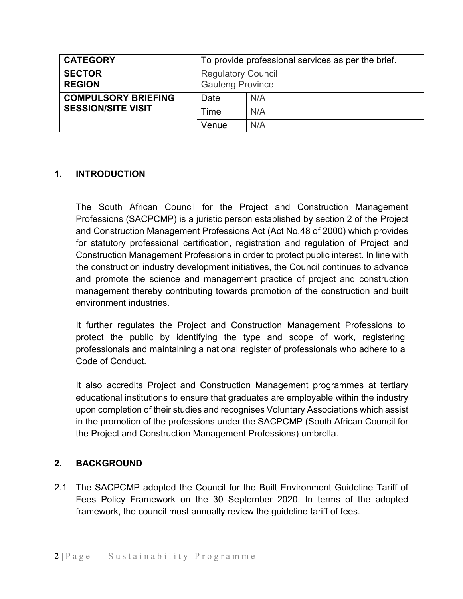| <b>CATEGORY</b>            | To provide professional services as per the brief. |     |  |  |
|----------------------------|----------------------------------------------------|-----|--|--|
| <b>SECTOR</b>              | <b>Regulatory Council</b>                          |     |  |  |
| <b>REGION</b>              | <b>Gauteng Province</b>                            |     |  |  |
| <b>COMPULSORY BRIEFING</b> | Date                                               | N/A |  |  |
| <b>SESSION/SITE VISIT</b>  | Time                                               | N/A |  |  |
|                            | Venue                                              | N/A |  |  |

## **1. INTRODUCTION**

The South African Council for the Project and Construction Management Professions (SACPCMP) is a juristic person established by section 2 of the Project and Construction Management Professions Act (Act No.48 of 2000) which provides for statutory professional certification, registration and regulation of Project and Construction Management Professions in order to protect public interest. In line with the construction industry development initiatives, the Council continues to advance and promote the science and management practice of project and construction management thereby contributing towards promotion of the construction and built environment industries.

It further regulates the Project and Construction Management Professions to protect the public by identifying the type and scope of work, registering professionals and maintaining a national register of professionals who adhere to a Code of Conduct.

It also accredits Project and Construction Management programmes at tertiary educational institutions to ensure that graduates are employable within the industry upon completion of their studies and recognises Voluntary Associations which assist in the promotion of the professions under the SACPCMP (South African Council for the Project and Construction Management Professions) umbrella.

## **2. BACKGROUND**

2.1 The SACPCMP adopted the Council for the Built Environment Guideline Tariff of Fees Policy Framework on the 30 September 2020. In terms of the adopted framework, the council must annually review the guideline tariff of fees.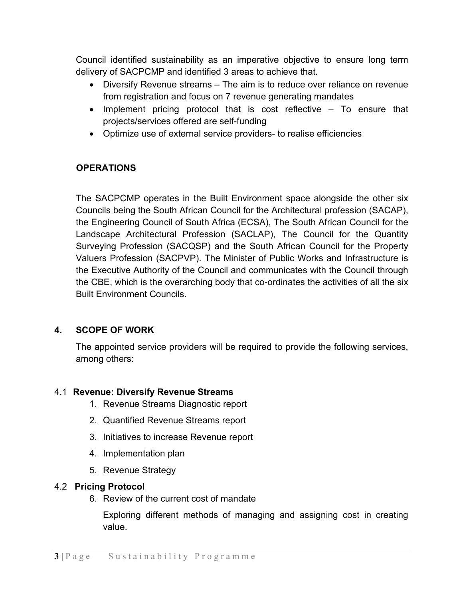Council identified sustainability as an imperative objective to ensure long term delivery of SACPCMP and identified 3 areas to achieve that.

- Diversify Revenue streams The aim is to reduce over reliance on revenue from registration and focus on 7 revenue generating mandates
- Implement pricing protocol that is cost reflective To ensure that projects/services offered are self-funding
- Optimize use of external service providers- to realise efficiencies

## **OPERATIONS**

The SACPCMP operates in the Built Environment space alongside the other six Councils being the South African Council for the Architectural profession (SACAP), the Engineering Council of South Africa (ECSA), The South African Council for the Landscape Architectural Profession (SACLAP), The Council for the Quantity Surveying Profession (SACQSP) and the South African Council for the Property Valuers Profession (SACPVP). The Minister of Public Works and Infrastructure is the Executive Authority of the Council and communicates with the Council through the CBE, which is the overarching body that co-ordinates the activities of all the six Built Environment Councils.

## **4. SCOPE OF WORK**

The appointed service providers will be required to provide the following services, among others:

## 4.1 **Revenue: Diversify Revenue Streams**

- 1. Revenue Streams Diagnostic report
- 2. Quantified Revenue Streams report
- 3. Initiatives to increase Revenue report
- 4. Implementation plan
- 5. Revenue Strategy

## 4.2 **Pricing Protocol**

6. Review of the current cost of mandate

Exploring different methods of managing and assigning cost in creating value.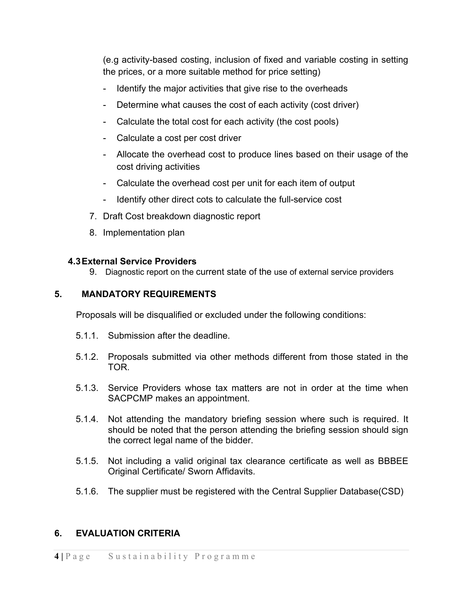(e.g activity-based costing, inclusion of fixed and variable costing in setting the prices, or a more suitable method for price setting)

- Identify the major activities that give rise to the overheads
- Determine what causes the cost of each activity (cost driver)
- Calculate the total cost for each activity (the cost pools)
- Calculate a cost per cost driver
- Allocate the overhead cost to produce lines based on their usage of the cost driving activities
- Calculate the overhead cost per unit for each item of output
- Identify other direct cots to calculate the full-service cost
- 7. Draft Cost breakdown diagnostic report
- 8. Implementation plan

## **4.3External Service Providers**

9. Diagnostic report on the current state of the use of external service providers

## **5. MANDATORY REQUIREMENTS**

Proposals will be disqualified or excluded under the following conditions:

- 5.1.1. Submission after the deadline.
- 5.1.2. Proposals submitted via other methods different from those stated in the TOR.
- 5.1.3. Service Providers whose tax matters are not in order at the time when SACPCMP makes an appointment.
- 5.1.4. Not attending the mandatory briefing session where such is required. It should be noted that the person attending the briefing session should sign the correct legal name of the bidder.
- 5.1.5. Not including a valid original tax clearance certificate as well as BBBEE Original Certificate/ Sworn Affidavits.
- 5.1.6. The supplier must be registered with the Central Supplier Database(CSD)

# **6. EVALUATION CRITERIA**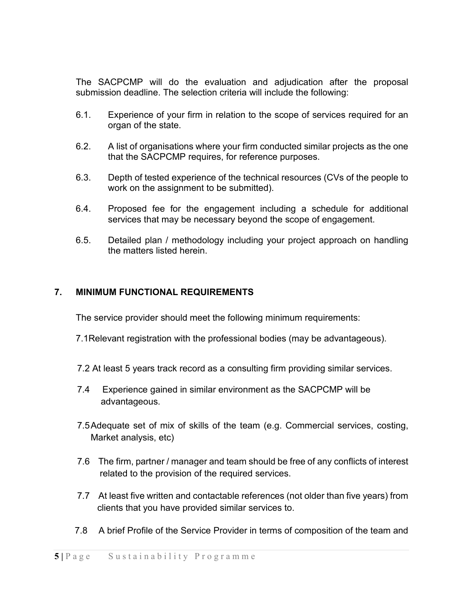The SACPCMP will do the evaluation and adjudication after the proposal submission deadline. The selection criteria will include the following:

- 6.1. Experience of your firm in relation to the scope of services required for an organ of the state.
- 6.2. A list of organisations where your firm conducted similar projects as the one that the SACPCMP requires, for reference purposes.
- 6.3. Depth of tested experience of the technical resources (CVs of the people to work on the assignment to be submitted).
- 6.4. Proposed fee for the engagement including a schedule for additional services that may be necessary beyond the scope of engagement.
- 6.5. Detailed plan / methodology including your project approach on handling the matters listed herein.

### **7. MINIMUM FUNCTIONAL REQUIREMENTS**

The service provider should meet the following minimum requirements:

- 7.1Relevant registration with the professional bodies (may be advantageous).
- 7.2 At least 5 years track record as a consulting firm providing similar services.
- 7.4 Experience gained in similar environment as the SACPCMP will be advantageous.
- 7.5Adequate set of mix of skills of the team (e.g. Commercial services, costing, Market analysis, etc)
- 7.6 The firm, partner / manager and team should be free of any conflicts of interest related to the provision of the required services.
- 7.7 At least five written and contactable references (not older than five years) from clients that you have provided similar services to.
- 7.8 A brief Profile of the Service Provider in terms of composition of the team and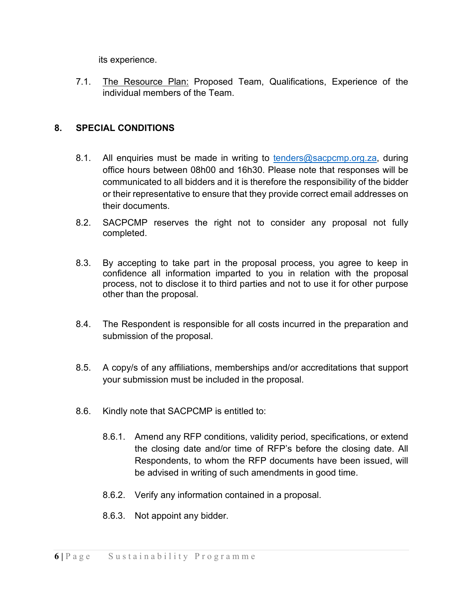its experience.

7.1. The Resource Plan: Proposed Team, Qualifications, Experience of the individual members of the Team.

## **8. SPECIAL CONDITIONS**

- 8.1. All enquiries must be made in writing to  $t$ enders@sacpcmp.org.za, during office hours between 08h00 and 16h30. Please note that responses will be communicated to all bidders and it is therefore the responsibility of the bidder or their representative to ensure that they provide correct email addresses on their documents.
- 8.2. SACPCMP reserves the right not to consider any proposal not fully completed.
- 8.3. By accepting to take part in the proposal process, you agree to keep in confidence all information imparted to you in relation with the proposal process, not to disclose it to third parties and not to use it for other purpose other than the proposal.
- 8.4. The Respondent is responsible for all costs incurred in the preparation and submission of the proposal.
- 8.5. A copy/s of any affiliations, memberships and/or accreditations that support your submission must be included in the proposal.
- 8.6. Kindly note that SACPCMP is entitled to:
	- 8.6.1. Amend any RFP conditions, validity period, specifications, or extend the closing date and/or time of RFP's before the closing date. All Respondents, to whom the RFP documents have been issued, will be advised in writing of such amendments in good time.
	- 8.6.2. Verify any information contained in a proposal.
	- 8.6.3. Not appoint any bidder.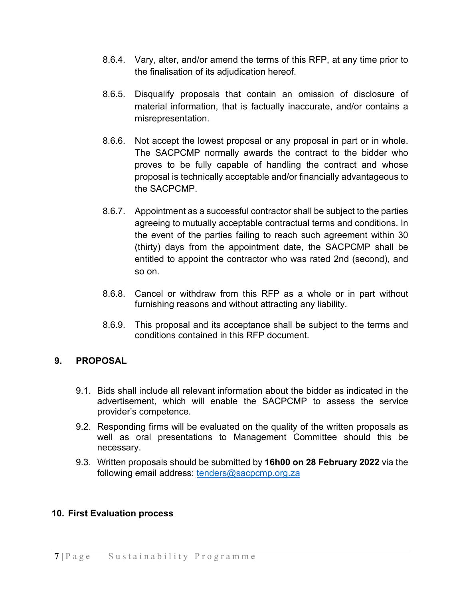- 8.6.4. Vary, alter, and/or amend the terms of this RFP, at any time prior to the finalisation of its adjudication hereof.
- 8.6.5. Disqualify proposals that contain an omission of disclosure of material information, that is factually inaccurate, and/or contains a misrepresentation.
- 8.6.6. Not accept the lowest proposal or any proposal in part or in whole. The SACPCMP normally awards the contract to the bidder who proves to be fully capable of handling the contract and whose proposal is technically acceptable and/or financially advantageous to the SACPCMP.
- 8.6.7. Appointment as a successful contractor shall be subject to the parties agreeing to mutually acceptable contractual terms and conditions. In the event of the parties failing to reach such agreement within 30 (thirty) days from the appointment date, the SACPCMP shall be entitled to appoint the contractor who was rated 2nd (second), and so on.
- 8.6.8. Cancel or withdraw from this RFP as a whole or in part without furnishing reasons and without attracting any liability.
- 8.6.9. This proposal and its acceptance shall be subject to the terms and conditions contained in this RFP document.

## **9. PROPOSAL**

- 9.1. Bids shall include all relevant information about the bidder as indicated in the advertisement, which will enable the SACPCMP to assess the service provider's competence.
- 9.2. Responding firms will be evaluated on the quality of the written proposals as well as oral presentations to Management Committee should this be necessary.
- 9.3. Written proposals should be submitted by **16h00 on 28 February 2022** via the following email address: tenders@sacpcmp.org.za

## **10. First Evaluation process**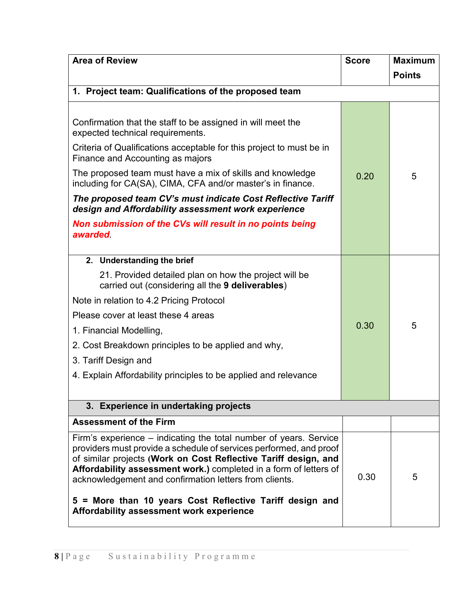| <b>Area of Review</b>                                                                                                                                                                                                                                                                                                                     | <b>Score</b> | <b>Maximum</b> |
|-------------------------------------------------------------------------------------------------------------------------------------------------------------------------------------------------------------------------------------------------------------------------------------------------------------------------------------------|--------------|----------------|
|                                                                                                                                                                                                                                                                                                                                           |              | <b>Points</b>  |
| 1. Project team: Qualifications of the proposed team                                                                                                                                                                                                                                                                                      |              |                |
|                                                                                                                                                                                                                                                                                                                                           |              |                |
| Confirmation that the staff to be assigned in will meet the<br>expected technical requirements.                                                                                                                                                                                                                                           |              |                |
| Criteria of Qualifications acceptable for this project to must be in<br>Finance and Accounting as majors                                                                                                                                                                                                                                  |              |                |
| The proposed team must have a mix of skills and knowledge<br>including for CA(SA), CIMA, CFA and/or master's in finance.                                                                                                                                                                                                                  | 0.20         | 5              |
| The proposed team CV's must indicate Cost Reflective Tariff<br>design and Affordability assessment work experience                                                                                                                                                                                                                        |              |                |
| Non submission of the CVs will result in no points being<br><b>awarded</b>                                                                                                                                                                                                                                                                |              |                |
| 2. Understanding the brief                                                                                                                                                                                                                                                                                                                |              |                |
| 21. Provided detailed plan on how the project will be<br>carried out (considering all the 9 deliverables)                                                                                                                                                                                                                                 |              |                |
| Note in relation to 4.2 Pricing Protocol                                                                                                                                                                                                                                                                                                  |              |                |
| Please cover at least these 4 areas                                                                                                                                                                                                                                                                                                       |              |                |
| 1. Financial Modelling,                                                                                                                                                                                                                                                                                                                   | 0.30         | 5              |
| 2. Cost Breakdown principles to be applied and why,                                                                                                                                                                                                                                                                                       |              |                |
| 3. Tariff Design and                                                                                                                                                                                                                                                                                                                      |              |                |
| 4. Explain Affordability principles to be applied and relevance                                                                                                                                                                                                                                                                           |              |                |
|                                                                                                                                                                                                                                                                                                                                           |              |                |
| 3. Experience in undertaking projects                                                                                                                                                                                                                                                                                                     |              |                |
| <b>Assessment of the Firm</b>                                                                                                                                                                                                                                                                                                             |              |                |
| Firm's experience – indicating the total number of years. Service<br>providers must provide a schedule of services performed, and proof<br>of similar projects (Work on Cost Reflective Tariff design, and<br>Affordability assessment work.) completed in a form of letters of<br>acknowledgement and confirmation letters from clients. | 0.30         | 5              |
| 5 = More than 10 years Cost Reflective Tariff design and<br>Affordability assessment work experience                                                                                                                                                                                                                                      |              |                |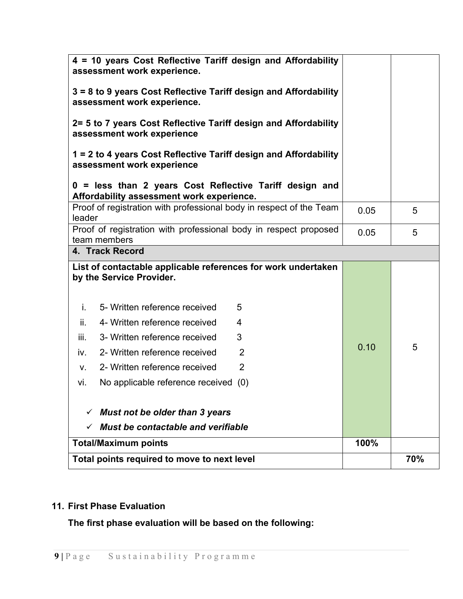|        | Total points required to move to next level                                                                      |      | 70% |
|--------|------------------------------------------------------------------------------------------------------------------|------|-----|
|        | <b>Total/Maximum points</b>                                                                                      | 100% |     |
| ✓      | <b>Must be contactable and verifiable</b>                                                                        |      |     |
| ✓      | Must not be older than 3 years                                                                                   |      |     |
| vi.    | No applicable reference received<br>(0)                                                                          |      |     |
| V.     | $\overline{2}$<br>2- Written reference received                                                                  |      |     |
| iv.    | $\overline{2}$<br>2- Written reference received                                                                  |      |     |
| iii.   | 3- Written reference received<br>3                                                                               | 0.10 | 5   |
| ii.    | 4- Written reference received<br>4                                                                               |      |     |
| j.     | 5- Written reference received<br>5                                                                               |      |     |
|        | List of contactable applicable references for work undertaken<br>by the Service Provider.                        |      |     |
|        | team members<br>4. Track Record                                                                                  | 0.05 | 5   |
| leader | Proof of registration with professional body in respect proposed                                                 |      |     |
|        | Affordability assessment work experience.<br>Proof of registration with professional body in respect of the Team | 0.05 | 5   |
|        | 0 = less than 2 years Cost Reflective Tariff design and                                                          |      |     |
|        | 1 = 2 to 4 years Cost Reflective Tariff design and Affordability<br>assessment work experience                   |      |     |
|        | 2= 5 to 7 years Cost Reflective Tariff design and Affordability<br>assessment work experience                    |      |     |
|        | 3 = 8 to 9 years Cost Reflective Tariff design and Affordability<br>assessment work experience.                  |      |     |
|        | 4 = 10 years Cost Reflective Tariff design and Affordability<br>assessment work experience.                      |      |     |

# **11. First Phase Evaluation**

**The first phase evaluation will be based on the following:**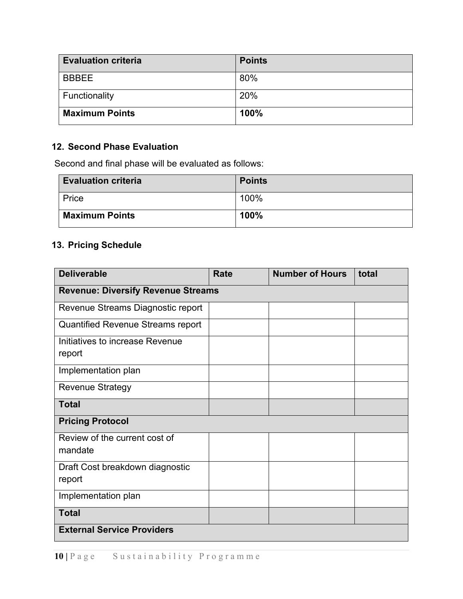| <b>Evaluation criteria</b> | <b>Points</b> |
|----------------------------|---------------|
| <b>BBBEE</b>               | 80%           |
| Functionality              | 20%           |
| <b>Maximum Points</b>      | 100%          |

## **12. Second Phase Evaluation**

Second and final phase will be evaluated as follows:

| <b>Evaluation criteria</b> | <b>Points</b> |
|----------------------------|---------------|
| Price                      | 100%          |
| <b>Maximum Points</b>      | 100%          |

## **13. Pricing Schedule**

| <b>Deliverable</b>                        | <b>Rate</b> | <b>Number of Hours</b> | total |  |  |  |  |
|-------------------------------------------|-------------|------------------------|-------|--|--|--|--|
| <b>Revenue: Diversify Revenue Streams</b> |             |                        |       |  |  |  |  |
| Revenue Streams Diagnostic report         |             |                        |       |  |  |  |  |
| <b>Quantified Revenue Streams report</b>  |             |                        |       |  |  |  |  |
| Initiatives to increase Revenue<br>report |             |                        |       |  |  |  |  |
| Implementation plan                       |             |                        |       |  |  |  |  |
| <b>Revenue Strategy</b>                   |             |                        |       |  |  |  |  |
| <b>Total</b>                              |             |                        |       |  |  |  |  |
| <b>Pricing Protocol</b>                   |             |                        |       |  |  |  |  |
| Review of the current cost of<br>mandate  |             |                        |       |  |  |  |  |
| Draft Cost breakdown diagnostic<br>report |             |                        |       |  |  |  |  |
| Implementation plan                       |             |                        |       |  |  |  |  |
| <b>Total</b>                              |             |                        |       |  |  |  |  |
| <b>External Service Providers</b>         |             |                        |       |  |  |  |  |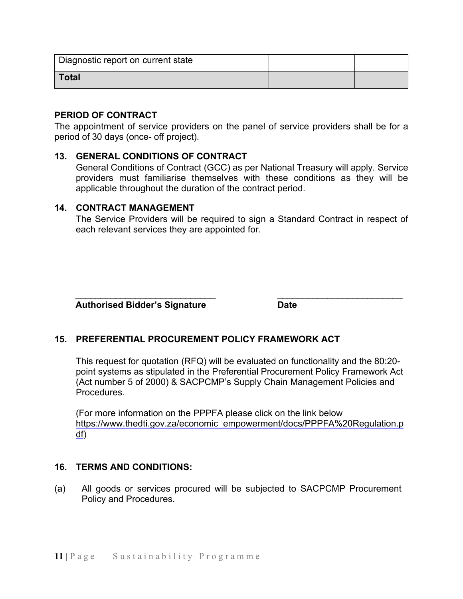| Diagnostic report on current state |  |  |
|------------------------------------|--|--|
| <b>Total</b>                       |  |  |

#### **PERIOD OF CONTRACT**

The appointment of service providers on the panel of service providers shall be for a period of 30 days (once- off project).

### **13. GENERAL CONDITIONS OF CONTRACT**

General Conditions of Contract (GCC) as per National Treasury will apply. Service providers must familiarise themselves with these conditions as they will be applicable throughout the duration of the contract period.

#### **14. CONTRACT MANAGEMENT**

The Service Providers will be required to sign a Standard Contract in respect of each relevant services they are appointed for.

 **Authorised Bidder's Signature Date**

## **15. PREFERENTIAL PROCUREMENT POLICY FRAMEWORK ACT**

This request for quotation (RFQ) will be evaluated on functionality and the 80:20 point systems as stipulated in the Preferential Procurement Policy Framework Act (Act number 5 of 2000) & SACPCMP's Supply Chain Management Policies and **Procedures** 

 $\frac{1}{2}$  ,  $\frac{1}{2}$  ,  $\frac{1}{2}$  ,  $\frac{1}{2}$  ,  $\frac{1}{2}$  ,  $\frac{1}{2}$  ,  $\frac{1}{2}$  ,  $\frac{1}{2}$  ,  $\frac{1}{2}$  ,  $\frac{1}{2}$  ,  $\frac{1}{2}$  ,  $\frac{1}{2}$  ,  $\frac{1}{2}$  ,  $\frac{1}{2}$  ,  $\frac{1}{2}$  ,  $\frac{1}{2}$  ,  $\frac{1}{2}$  ,  $\frac{1}{2}$  ,  $\frac{1$ 

(For more information on the PPPFA please click on the link below [https://www.thedti.gov.za/economic\\_empowerment/docs/PPPFA%20Regulation.p](https://www.thedti.gov.za/economic_empowerment/docs/PPPFA%20Regulation.pdf) [df\)](https://www.thedti.gov.za/economic_empowerment/docs/PPPFA%20Regulation.pdf)

### **16. TERMS AND CONDITIONS:**

(a) All goods or services procured will be subjected to SACPCMP Procurement Policy and Procedures.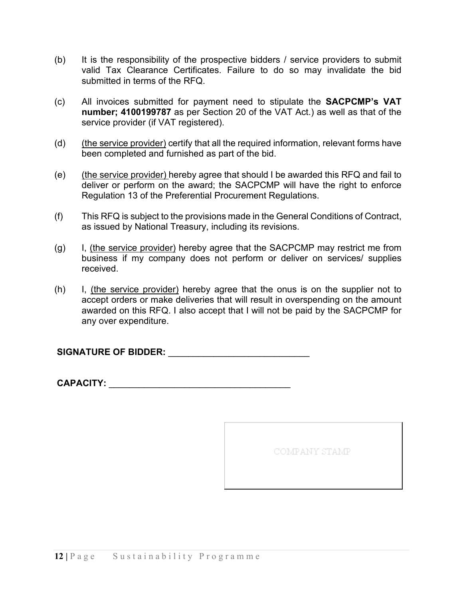- (b) It is the responsibility of the prospective bidders / service providers to submit valid Tax Clearance Certificates. Failure to do so may invalidate the bid submitted in terms of the RFQ.
- (c) All invoices submitted for payment need to stipulate the **SACPCMP's VAT number; 4100199787** as per Section 20 of the VAT Act.) as well as that of the service provider (if VAT registered).
- (d) (the service provider) certify that all the required information, relevant forms have been completed and furnished as part of the bid.
- (e) (the service provider) hereby agree that should I be awarded this RFQ and fail to deliver or perform on the award; the SACPCMP will have the right to enforce Regulation 13 of the Preferential Procurement Regulations.
- (f) This RFQ is subject to the provisions made in the General Conditions of Contract, as issued by National Treasury, including its revisions.
- (g) I, (the service provider) hereby agree that the SACPCMP may restrict me from business if my company does not perform or deliver on services/ supplies received.
- (h) I, (the service provider) hereby agree that the onus is on the supplier not to accept orders or make deliveries that will result in overspending on the amount awarded on this RFQ. I also accept that I will not be paid by the SACPCMP for any over expenditure.

**SIGNATURE OF BIDDER:** \_\_\_\_\_\_\_\_\_\_\_\_\_\_\_\_\_\_\_\_\_\_\_\_\_\_\_\_

**CAPACITY:** \_\_\_\_\_\_\_\_\_\_\_\_\_\_\_\_\_\_\_\_\_\_\_\_\_\_\_\_\_\_\_\_\_\_\_\_

COMPANY STAMP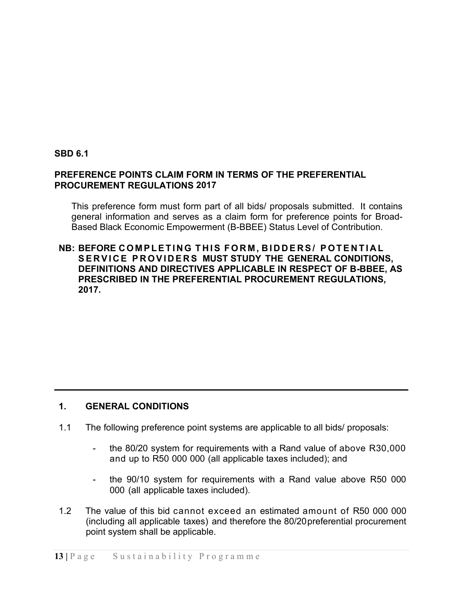### **SBD 6.1**

### **PREFERENCE POINTS CLAIM FORM IN TERMS OF THE PREFERENTIAL PROCUREMENT REGULATIONS 2017**

This preference form must form part of all bids/ proposals submitted. It contains general information and serves as a claim form for preference points for Broad-Based Black Economic Empowerment (B-BBEE) Status Level of Contribution.

### **NB: BEFORE COMPLETING THIS FORM , BIDDERS/ POTENTIAL SERVICE PROVIDERS MUST STUDY THE GENERAL CONDITIONS, DEFINITIONS AND DIRECTIVES APPLICABLE IN RESPECT OF B-BBEE, AS PRESCRIBED IN THE PREFERENTIAL PROCUREMENT REGULATIONS, 2017.**

### **1. GENERAL CONDITIONS**

- 1.1 The following preference point systems are applicable to all bids/ proposals:
	- the 80/20 system for requirements with a Rand value of above R30,000 and up to R50 000 000 (all applicable taxes included); and
	- the 90/10 system for requirements with a Rand value above R50 000 000 (all applicable taxes included).
- 1.2 The value of this bid cannot exceed an estimated amount of R50 000 000 (including all applicable taxes) and therefore the 80/20preferential procurement point system shall be applicable.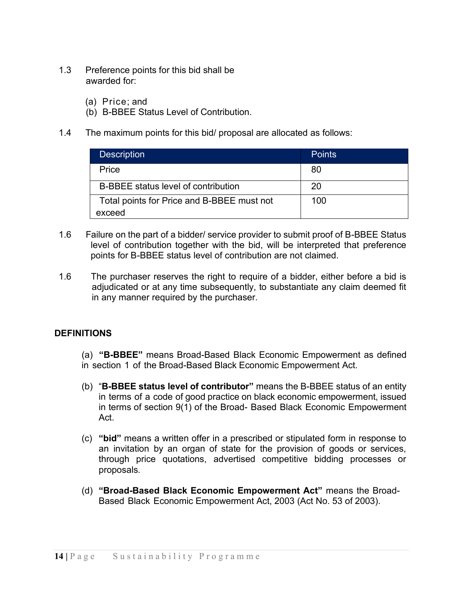- 1.3 Preference points for this bid shall be awarded for:
	- (a) Price; and
	- (b) B-BBEE Status Level of Contribution.
- 1.4 The maximum points for this bid/ proposal are allocated as follows:

| <b>Description</b>                         | <b>Points</b> |
|--------------------------------------------|---------------|
| Price                                      | 80            |
| B-BBEE status level of contribution        | 20            |
| Total points for Price and B-BBEE must not | 100           |
| exceed                                     |               |

- 1.6 Failure on the part of a bidder/ service provider to submit proof of B-BBEE Status level of contribution together with the bid, will be interpreted that preference points for B-BBEE status level of contribution are not claimed.
- 1.6 The purchaser reserves the right to require of a bidder, either before a bid is adjudicated or at any time subsequently, to substantiate any claim deemed fit in any manner required by the purchaser.

## **DEFINITIONS**

(a) **"B-BBEE"** means Broad-Based Black Economic Empowerment as defined in section 1 of the Broad-Based Black Economic Empowerment Act.

- (b) "**B-BBEE status level of contributor"** means the B-BBEE status of an entity in terms of a code of good practice on black economic empowerment, issued in terms of section 9(1) of the Broad- Based Black Economic Empowerment Act.
- (c) **"bid"** means a written offer in a prescribed or stipulated form in response to an invitation by an organ of state for the provision of goods or services, through price quotations, advertised competitive bidding processes or proposals.
- (d) **"Broad-Based Black Economic Empowerment Act"** means the Broad-Based Black Economic Empowerment Act, 2003 (Act No. 53 of 2003).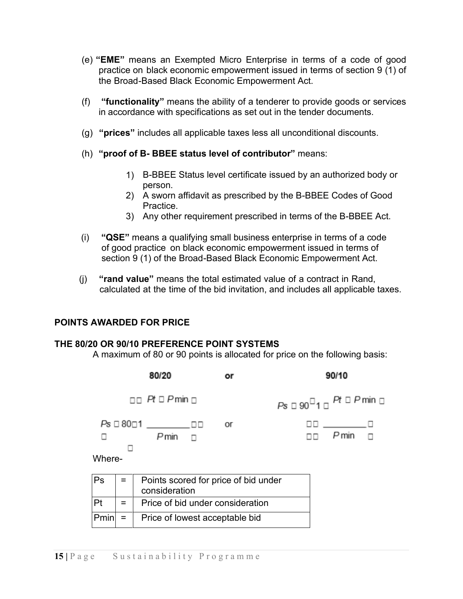- (e) **"EME"** means an Exempted Micro Enterprise in terms of a code of good practice on black economic empowerment issued in terms of section 9 (1) of the Broad-Based Black Economic Empowerment Act.
- (f) **"functionality"** means the ability of a tenderer to provide goods or services in accordance with specifications as set out in the tender documents.
- (g) **"prices"** includes all applicable taxes less all unconditional discounts.
- (h) **"proof of B- BBEE status level of contributor"** means:
	- 1) B-BBEE Status level certificate issued by an authorized body or person.
	- 2) A sworn affidavit as prescribed by the B-BBEE Codes of Good Practice.
	- 3) Any other requirement prescribed in terms of the B-BBEE Act.
- (i) **"QSE"** means a qualifying small business enterprise in terms of a code of good practice on black economic empowerment issued in terms of section 9 (1) of the Broad-Based Black Economic Empowerment Act.
- (j) **"rand value"** means the total estimated value of a contract in Rand, calculated at the time of the bid invitation, and includes all applicable taxes.

### **POINTS AWARDED FOR PRICE**

#### **THE 80/20 OR 90/10 PREFERENCE POINT SYSTEMS**

A maximum of 80 or 90 points is allocated for price on the following basis:

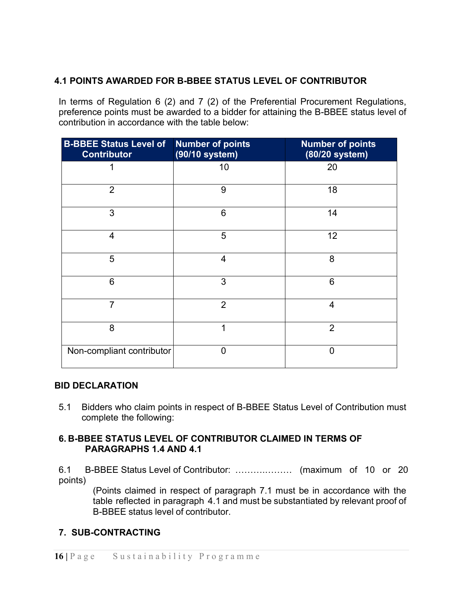## **4.1 POINTS AWARDED FOR B-BBEE STATUS LEVEL OF CONTRIBUTOR**

In terms of Regulation 6 (2) and 7 (2) of the Preferential Procurement Regulations, preference points must be awarded to a bidder for attaining the B-BBEE status level of contribution in accordance with the table below:

| <b>B-BBEE Status Level of</b><br><b>Contributor</b> | <b>Number of points</b><br>(90/10 system) | <b>Number of points</b><br>(80/20 system) |
|-----------------------------------------------------|-------------------------------------------|-------------------------------------------|
|                                                     | 10                                        | 20                                        |
| $\overline{2}$                                      | 9                                         | 18                                        |
| 3                                                   | 6                                         | 14                                        |
| $\overline{4}$                                      | 5                                         | 12                                        |
| 5                                                   | 4                                         | 8                                         |
| 6                                                   | 3                                         | 6                                         |
| $\overline{7}$                                      | $\overline{2}$                            | $\overline{4}$                            |
| 8                                                   | 1                                         | $\overline{2}$                            |
| Non-compliant contributor                           | 0                                         | $\overline{0}$                            |

### **BID DECLARATION**

5.1 Bidders who claim points in respect of B-BBEE Status Level of Contribution must complete the following:

### **6. B-BBEE STATUS LEVEL OF CONTRIBUTOR CLAIMED IN TERMS OF PARAGRAPHS 1.4 AND 4.1**

6.1 B-BBEE Status Level of Contributor: ……….……… (maximum of 10 or 20 points)

(Points claimed in respect of paragraph 7.1 must be in accordance with the table reflected in paragraph 4.1 and must be substantiated by relevant proof of B-BBEE status level of contributor.

## **7. SUB-CONTRACTING**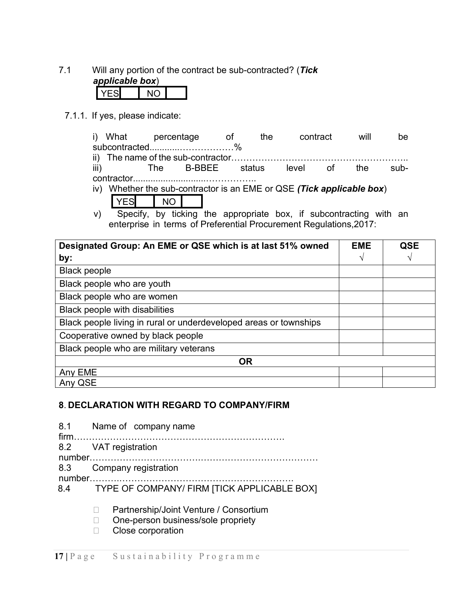7.1 Will any portion of the contract be sub-contracted? (*Tick applicable box*)

7.1.1. If yes, please indicate:

|      | i) What percentage |     |                                                                       | and the contract of the contract of the contract of the contract of the contract of the contract of the contra | the |          | contract | will | be   |
|------|--------------------|-----|-----------------------------------------------------------------------|----------------------------------------------------------------------------------------------------------------|-----|----------|----------|------|------|
|      |                    |     | subcontracted%                                                        |                                                                                                                |     |          |          |      |      |
|      |                    |     |                                                                       |                                                                                                                |     |          |          |      |      |
| iii) |                    |     | The B-BBEE status                                                     |                                                                                                                |     | level of |          | the. | sub- |
|      |                    |     |                                                                       |                                                                                                                |     |          |          |      |      |
|      |                    |     | iv) Whether the sub-contractor is an EME or QSE (Tick applicable box) |                                                                                                                |     |          |          |      |      |
|      | /FS                | NO. |                                                                       |                                                                                                                |     |          |          |      |      |
|      |                    |     |                                                                       |                                                                                                                |     |          |          |      |      |

v) Specify, by ticking the appropriate box, if subcontracting with an enterprise in terms of Preferential Procurement Regulations,2017:

| Designated Group: An EME or QSE which is at last 51% owned        | <b>EME</b> | <b>QSE</b> |
|-------------------------------------------------------------------|------------|------------|
| by:                                                               |            |            |
| <b>Black people</b>                                               |            |            |
| Black people who are youth                                        |            |            |
| Black people who are women                                        |            |            |
| <b>Black people with disabilities</b>                             |            |            |
| Black people living in rural or underdeveloped areas or townships |            |            |
| Cooperative owned by black people                                 |            |            |
| Black people who are military veterans                            |            |            |
| <b>OR</b>                                                         |            |            |
| Any EME                                                           |            |            |
| Any QSE                                                           |            |            |

## **8**. **DECLARATION WITH REGARD TO COMPANY/FIRM**

| 8.1 Name of company name                        |  |  |
|-------------------------------------------------|--|--|
| 8.2 VAT registration                            |  |  |
|                                                 |  |  |
| 8.3 Company registration                        |  |  |
|                                                 |  |  |
| 8.4 TYPE OF COMPANY/ FIRM [TICK APPLICABLE BOX] |  |  |
| Partnership/Joint Venture / Consortium          |  |  |
| One-person business/sole propriety              |  |  |

□ Close corporation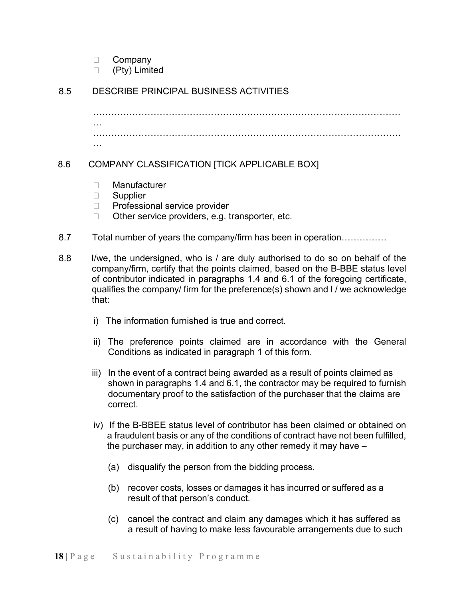- D Company
- (Pty) Limited

## 8.5 DESCRIBE PRINCIPAL BUSINESS ACTIVITIES

………………………………………………………………………………………… … ………………………………………………………………………………………… …

## 8.6 COMPANY CLASSIFICATION [TICK APPLICABLE BOX]

- □ Manufacturer
- □ Supplier
- □ Professional service provider
- $\Box$  Other service providers, e.g. transporter, etc.
- 8.7 Total number of years the company/firm has been in operation……………
- 8.8 I/we, the undersigned, who is / are duly authorised to do so on behalf of the company/firm, certify that the points claimed, based on the B-BBE status level of contributor indicated in paragraphs 1.4 and 6.1 of the foregoing certificate, qualifies the company/ firm for the preference(s) shown and I / we acknowledge that:
	- i) The information furnished is true and correct.
	- ii) The preference points claimed are in accordance with the General Conditions as indicated in paragraph 1 of this form.
	- iii) In the event of a contract being awarded as a result of points claimed as shown in paragraphs 1.4 and 6.1, the contractor may be required to furnish documentary proof to the satisfaction of the purchaser that the claims are correct.
	- iv) If the B-BBEE status level of contributor has been claimed or obtained on a fraudulent basis or any of the conditions of contract have not been fulfilled, the purchaser may, in addition to any other remedy it may have –
		- (a) disqualify the person from the bidding process.
		- (b) recover costs, losses or damages it has incurred or suffered as a result of that person's conduct.
		- (c) cancel the contract and claim any damages which it has suffered as a result of having to make less favourable arrangements due to such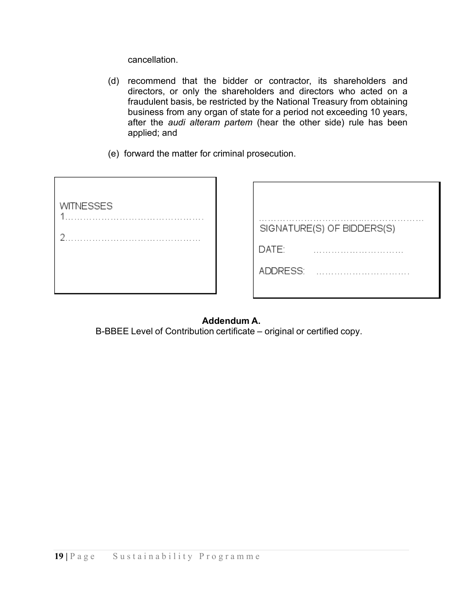cancellation.

- (d) recommend that the bidder or contractor, its shareholders and directors, or only the shareholders and directors who acted on a fraudulent basis, be restricted by the National Treasury from obtaining business from any organ of state for a period not exceeding 10 years, after the *audi alteram partem* (hear the other side) rule has been applied; and
- (e) forward the matter for criminal prosecution.

| <b>WITNESSES</b><br>4 |
|-----------------------|
|                       |
| 2                     |
|                       |
|                       |
|                       |
|                       |

| SIGNATURE(S) OF BIDDERS(S) |  |  |  |
|----------------------------|--|--|--|
| DATE:                      |  |  |  |
| ADDRESS:                   |  |  |  |
|                            |  |  |  |

## **Addendum A.**

B-BBEE Level of Contribution certificate – original or certified copy.